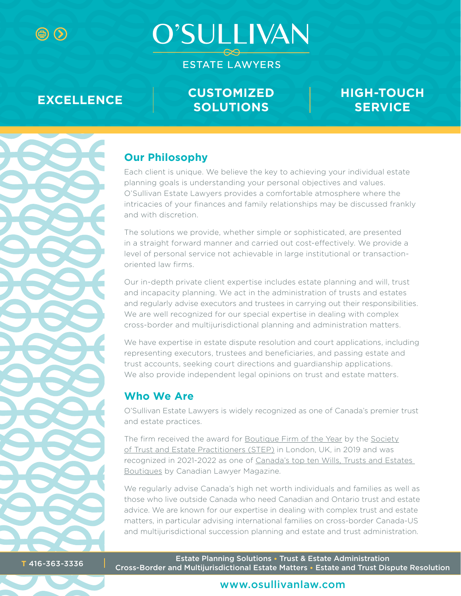**O'SULLIVAN** 

**ESTATE LAWYERS** 

**EXCELLENCE CUSTOMIZED SOLUTIONS**

# **HIGH-TOUCH SERVICE**



# **Our Philosophy**

Each client is unique. We believe the key to achieving your individual estate planning goals is understanding your personal objectives and values. O'Sullivan Estate Lawyers provides a comfortable atmosphere where the intricacies of your finances and family relationships may be discussed frankly and with discretion.

The solutions we provide, whether simple or sophisticated, are presented in a straight forward manner and carried out cost-effectively. We provide a level of personal service not achievable in large institutional or transactionoriented law firms.

Our in-depth private client expertise includes estate planning and will, trust and incapacity planning. We act in the administration of trusts and estates and regularly advise executors and trustees in carrying out their responsibilities. We are well recognized for our special expertise in dealing with complex cross-border and multijurisdictional planning and administration matters.

We have expertise in estate dispute resolution and court applications, including representing executors, trustees and beneficiaries, and passing estate and trust accounts, seeking court directions and guardianship applications. We also provide independent legal opinions on trust and estate matters.

# **Who We Are**

O'Sullivan Estate Lawyers is widely recognized as one of Canada's premier trust and estate practices.

The firm received the award for [Boutique Firm of the Year](https://pca.step.org/boutique-firm-year-1) by the [Society](https://pca.step.org/about-step-0) [of Trust and Estate Practitioners \(STEP\)](https://pca.step.org/about-step-0) in London, UK, in 2019 and was recognized in 2021-2022 as one of [Canada's top ten Wills, Trusts and Estates](https://www.canadianlawyermag.com/rankings/2021-top-wills-trusts-and-estates-law-boutiques/363967)  [Boutiques by Canadian](https://www.canadianlawyermag.com/rankings/2021-top-wills-trusts-and-estates-law-boutiques/363967) Lawyer Magazine.

We regularly advise Canada's high net worth individuals and families as well as those who live outside Canada who need Canadian and Ontario trust and estate advice. We are known for our expertise in dealing with complex trust and estate matters, in particular advising international families on cross-border Canada-US and multijurisdictional succession planning and estate and trust administration.

Estate Planning Solutions • Trust & Estate Administration Cross-Border and Multijurisdictional Estate Matters • Estate and Trust Dispute Resolution **<sup>T</sup>** 416-363-3336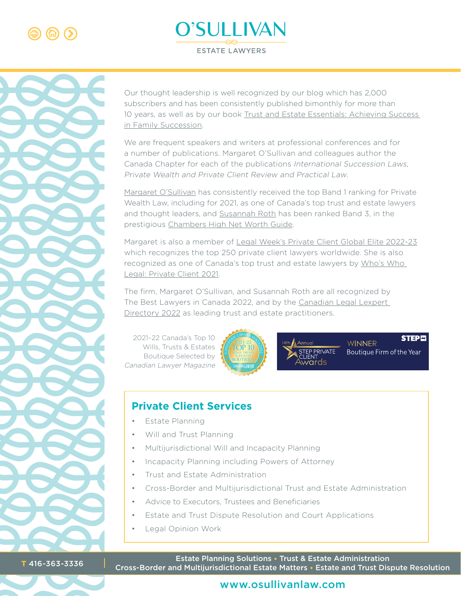





Our thought leadership is well recognized by our blog which has 2,000 subscribers and has been consistently published bimonthly for more than 10 years, as well as by our book [Trust and Estate Essentials: Achieving Success](https://www.amazon.ca/Trust-Estate-Essentials-Achieving-Succession/dp/199950030X)  [in Family Succession](https://www.amazon.ca/Trust-Estate-Essentials-Achieving-Succession/dp/199950030X).

We are frequent speakers and writers at professional conferences and for a number of publications. Margaret O'Sullivan and colleagues author the Canada Chapter for each of the publications International Succession Laws, Private Wealth and Private Client Review and Practical Law.

[Margaret O'Sullivan](https://www.osullivanlaw.com/firm-overview/margaret-osullivan/) has consistently received the top Band 1 ranking for Private Wealth Law, including for 2021, as one of Canada's top trust and estate lawyers and thought leaders, and [Susannah Roth](https://www.osullivanlaw.com/firm-overview/susannah-roth/) has been ranked Band 3, in the prestigious [Chambers High Net Worth Guide.](https://chambers.com/law-firm/osullivan-estate-lawyers-llp-high-net-worth-21:22832519)

Margaret is also a member of [Legal Week's Private Client Global Elite 2022](https://privateclientglobalelite.com/elite/margaret-osullivan/)-23 which recognizes the top 250 private client lawyers worldwide. She is also recognized as one of Canada's top trust and estate lawyers by [Who's Who](https://whoswholegal.com/margaret-r-osullivan)  [Legal: Private Client 2021](https://whoswholegal.com/margaret-r-osullivan).

The firm, Margaret O'Sullivan, and Susannah Roth are all recognized by The Best Lawyers in Canada 2022, and by the [Canadian Legal Lexpert](https://www.lexpert.ca/directory/practitioner/osullivan-estate-lawyers-llp-7902/margaret-r-osullivan-3145/)  [Directory 2022](https://www.lexpert.ca/directory/practitioner/osullivan-estate-lawyers-llp-7902/margaret-r-osullivan-3145/) as leading trust and estate practitioners.

[2021–22 Canada's Top 10](https://www.canadianlawyermag.com/surveys-reports/boutique-firm-rankings/family-dynamics-top-ten-wills-trusts-and-estates-boutiques/275759%23:~:text%3DApart%2520from%2520O%27Sullivan%2520Estate%2CGilholme%2520Estate%2520Lawyers%2520and%2520Whaley)  [Wills, Trusts & Estates](https://www.canadianlawyermag.com/rankings/2021-top-wills-trusts-and-estates-law-boutiques/363967)  [Boutique Selected by](https://www.canadianlawyermag.com/rankings/2021-top-wills-trusts-and-estates-law-boutiques/363967)  [Canadian Lawyer Magazine](https://www.canadianlawyermag.com/rankings/2021-top-wills-trusts-and-estates-law-boutiques/363967)



P PRIVATE

**STEP!: WINNER** Boutique Firm of the Year

# **Private Client Services**

- **Estate Planning**
- • Will and Trust Planning
- • Multijurisdictional Will and Incapacity Planning
- Incapacity Planning including Powers of Attorney
- Trust and Estate Administration
- • Cross-Border and Multijurisdictional Trust and Estate Administration
- Advice to Executors, Trustees and Beneficiaries
- Estate and Trust Dispute Resolution and Court Applications
- **Legal Opinion Work**

Estate Planning Solutions • Trust & Estate Administration Cross-Border and Multijurisdictional Estate Matters • Estate and Trust Dispute Resolution **<sup>T</sup>** 416-363-3336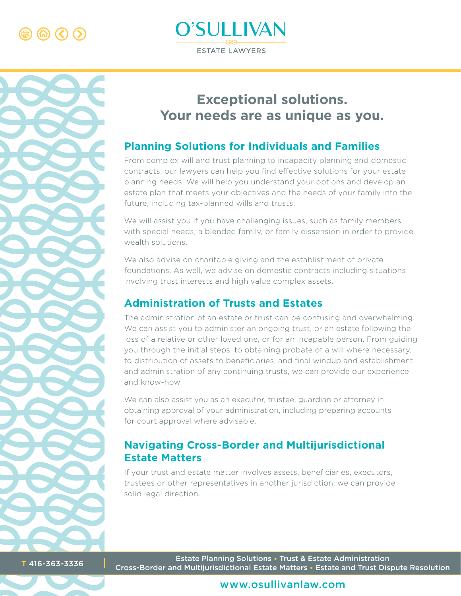



# **Exceptional solutions. Your needs are as unique as you.**

# **Planning Solutions for Individuals and Families**

From complex will and trust planning to incapacity planning and domestic contracts, our lawyers can help you find effective solutions for your estate planning needs. We will help you understand your options and develop an estate plan that meets your objectives and the needs of your family into the future, including tax-planned wills and trusts.

We will assist you if you have challenging issues, such as family members with special needs, a blended family, or family dissension in order to provide wealth solutions.

We also advise on charitable giving and the establishment of private foundations. As well, we advise on domestic contracts including situations involving trust interests and high value complex assets.

# **Administration of Trusts and Estates**

The administration of an estate or trust can be confusing and overwhelming. We can assist you to administer an ongoing trust, or an estate following the loss of a relative or other loved one, or for an incapable person. From guiding you through the initial steps, to obtaining probate of a will where necessary, to distribution of assets to beneficiaries, and final windup and establishment and administration of any continuing trusts, we can provide our experience and know-how.

We can also assist you as an executor, trustee, guardian or attorney in obtaining approval of your administration, including preparing accounts for court approval where advisable.

# **Navigating Cross-Border and Multijurisdictional Estate Matters**

If your trust and estate matter involves assets, beneficiaries, executors, trustees or other representatives in another jurisdiction, we can provide solid legal direction.

Estate Planning Solutions • Trust & Estate Administration Cross-Border and Multijurisdictional Estate Matters • Estate and Trust Dispute Resolution **<sup>T</sup>** 416-363-3336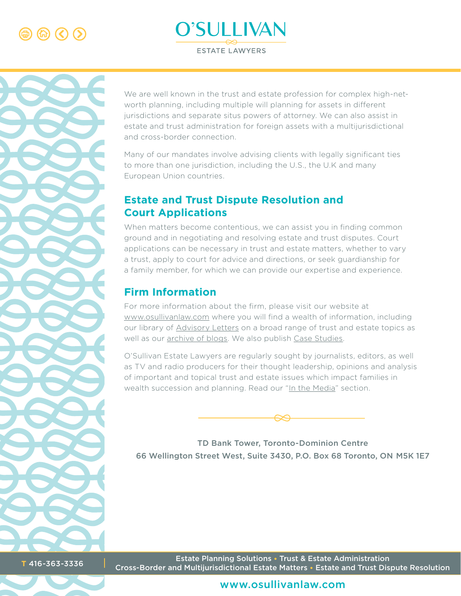





We are well known in the trust and estate profession for complex high-networth planning, including multiple will planning for assets in different jurisdictions and separate situs powers of attorney. We can also assist in estate and trust administration for foreign assets with a multijurisdictional and cross-border connection.

Many of our mandates involve advising clients with legally significant ties to more than one jurisdiction, including the U.S., the U.K and many European Union countries.

# **Estate and Trust Dispute Resolution and Court Applications**

When matters become contentious, we can assist you in finding common ground and in negotiating and resolving estate and trust disputes. Court applications can be necessary in trust and estate matters, whether to vary a trust, apply to court for advice and directions, or seek guardianship for a family member, for which we can provide our expertise and experience.

# **Firm Information**

For more information about the firm, please visit our website at [www.osullivanlaw.com](https://www.osullivanlaw.com/) where you will find a wealth of information, including our library of [Advisory Letters](https://www.osullivanlaw.com/advisory-letters/) on a broad range of trust and estate topics as well as our [archive of blogs](https://www.osullivanlaw.com/blog/). We also publish [Case Studies](https://www.osullivanlaw.com/case-studies/).

O'Sullivan Estate Lawyers are regularly sought by journalists, editors, as well as TV and radio producers for their thought leadership, opinions and analysis of important and topical trust and estate issues which impact families in wealth succession and planning. Read our "[In the Media"](https://www.osullivanlaw.com/in-the-media/) section.



TD Bank Tower, Toronto-Dominion Centre 66 Wellington Street West, Suite 3430, P.O. Box 68 Toronto, ON M5K 1E7

Estate Planning Solutions • Trust & Estate Administration Cross-Border and Multijurisdictional Estate Matters • Estate and Trust Dispute Resolution **<sup>T</sup>** 416-363-3336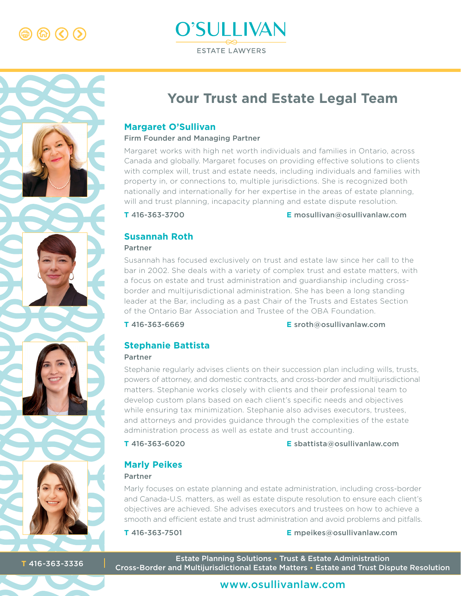$\circ$   $\circ$   $\circ$ 





# **Your Trust and Estate Legal Team**

#### **Margaret O'Sullivan**

#### Firm Founder and Managing Partner

Margaret works with high net worth individuals and families in Ontario, across Canada and globally. Margaret focuses on providing effective solutions to clients [with complex will, trust and estate needs, including individuals and families with](https://www.osullivanlaw.com/firm-overview/margaret-osullivan/)  property in, or connections to, multiple jurisdictions. She is recognized both nationally and internationally for her expertise in the areas of estate planning, will and trust planning, incapacity planning and estate dispute resolution.

**T** 416-363-3700 **E** mosullivan@osullivanlaw.com

#### **Susannah Roth**

#### Partner

Susannah has focused exclusively on trust and estate law since her call to the [bar in 2002. She deals with a variety of complex trust and estate matters, with](https://www.osullivanlaw.com/firm-overview/susannah-roth/)  a focus on estate and trust administration and guardianship including crossborder and multijurisdictional administration. She has been a long standing leader at the Bar, including as a past Chair of the Trusts and Estates Section of the Ontario Bar Association and Trustee of the OBA Foundation.

**T** 416-363-6669 **E** sroth@osullivanlaw.com

# **Stephanie Battista**

#### Partner

Stephanie regularly advises clients on their succession plan including wills, trusts, [powers of attorney, and domestic contracts, and cross-border and multijurisdictional](https://www.osullivanlaw.com/firm-overview/stephanie-battista/)  matters. Stephanie works closely with clients and their professional team to develop custom plans based on each client's specific needs and objectives while ensuring tax minimization. Stephanie also advises executors, trustees, and attorneys and provides guidance through the complexities of the estate administration process as well as estate and trust accounting.

#### **T** 416-363-6020 **E** sbattista@osullivanlaw.com

# **Marly Peikes**

#### Partner

Marly focuses on estate planning and estate administration, including cross-border [and Canada-U.S. matters, as well as estate dispute resolution to ensure each client's](https://www.osullivanlaw.com/firm-overview/marly-peikes/)  objectives are achieved. She advises executors and trustees on how to achieve a smooth and efficient estate and trust administration and avoid problems and pitfalls.

**T** 416-363-7501 **E** mpeikes@osullivanlaw.com

Estate Planning Solutions • Trust & Estate Administration Cross-Border and Multijurisdictional Estate Matters • Estate and Trust Dispute Resolution **<sup>T</sup>** 416-363-3336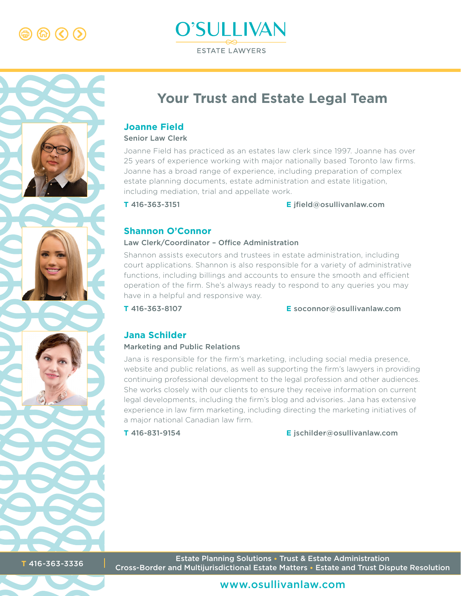$\circledR$   $\circledR$   $\circlearrowright$ 





# **Your Trust and Estate Legal Team**

#### **Joanne Field**

#### Senior Law Clerk

Joanne Field has practiced as an estates law clerk since 1997. Joanne has over [25 years of experience working with major nationally based Toronto law firms.](https://www.osullivanlaw.com/firm-overview/joanne-field/)  Joanne has a broad range of experience, including preparation of complex estate planning documents, estate administration and estate litigation, including mediation, trial and appellate work.

**T** 416-363-3151 **E** jfield@osullivanlaw.com

#### **Shannon O'Connor**

#### Law Clerk/Coordinator – Office Administration

Shannon assists executors and trustees in estate administration, including [court applications. Shannon is also responsible for a variety of administrative](https://www.osullivanlaw.com/firm-overview/shannon-o-connor/)  functions, including billings and accounts to ensure the smooth and efficient operation of the firm. She's always ready to respond to any queries you may have in a helpful and responsive way.

**T** 416-363-8107 **E** soconnor@osullivanlaw.com

#### **Jana Schilder**

#### Marketing and Public Relations

Jana is responsible for the firm's marketing, including social media presence, [website and public relations, as well as supporting the firm's lawyers in providing](https://www.osullivanlaw.com/firm-overview/jana-schilder/)  continuing professional development to the legal profession and other audiences. She works closely with our clients to ensure they receive information on current legal developments, including the firm's blog and advisories. Jana has extensive experience in law firm marketing, including directing the marketing initiatives of a major national Canadian law firm.

**T** 416-831-9154 **E** jschilder@osullivanlaw.com

Estate Planning Solutions • Trust & Estate Administration Cross-Border and Multijurisdictional Estate Matters • Estate and Trust Dispute Resolution **<sup>T</sup>** 416-363-3336